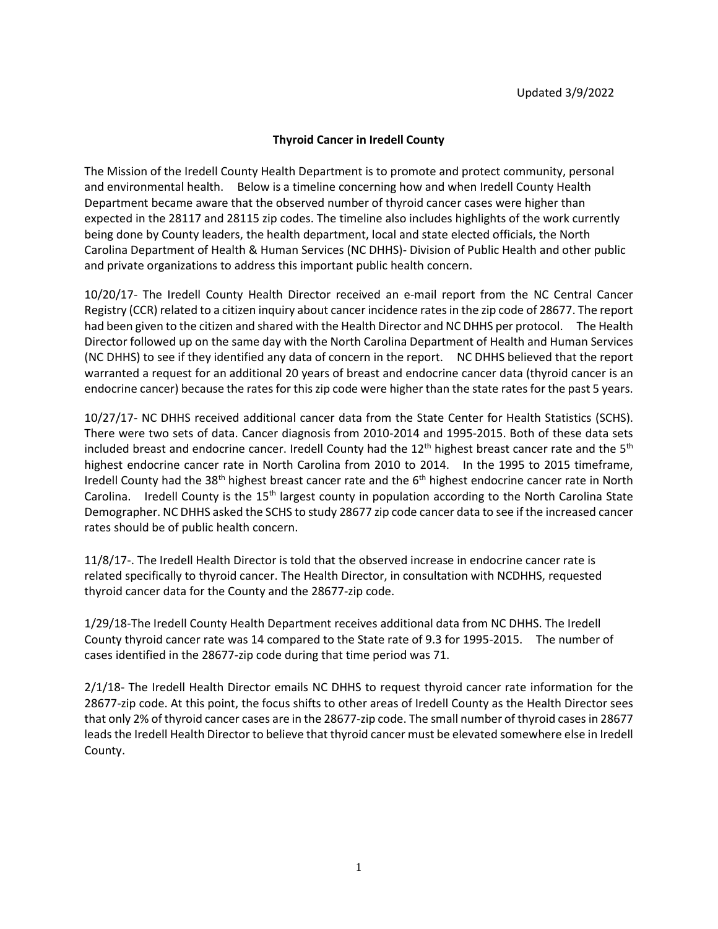## **Thyroid Cancer in Iredell County**

The Mission of the Iredell County Health Department is to promote and protect community, personal and environmental health. Below is a timeline concerning how and when Iredell County Health Department became aware that the observed number of thyroid cancer cases were higher than expected in the 28117 and 28115 zip codes. The timeline also includes highlights of the work currently being done by County leaders, the health department, local and state elected officials, the North Carolina Department of Health & Human Services (NC DHHS)- Division of Public Health and other public and private organizations to address this important public health concern.

10/20/17- The Iredell County Health Director received an e-mail report from the NC Central Cancer Registry (CCR) related to a citizen inquiry about cancer incidence rates in the zip code of 28677. The report had been given to the citizen and shared with the Health Director and NC DHHS per protocol. The Health Director followed up on the same day with the North Carolina Department of Health and Human Services (NC DHHS) to see if they identified any data of concern in the report. NC DHHS believed that the report warranted a request for an additional 20 years of breast and endocrine cancer data (thyroid cancer is an endocrine cancer) because the rates for this zip code were higher than the state rates for the past 5 years.

10/27/17- NC DHHS received additional cancer data from the State Center for Health Statistics (SCHS). There were two sets of data. Cancer diagnosis from 2010-2014 and 1995-2015. Both of these data sets included breast and endocrine cancer. Iredell County had the  $12<sup>th</sup>$  highest breast cancer rate and the  $5<sup>th</sup>$ highest endocrine cancer rate in North Carolina from 2010 to 2014. In the 1995 to 2015 timeframe, Iredell County had the 38<sup>th</sup> highest breast cancer rate and the 6<sup>th</sup> highest endocrine cancer rate in North Carolina. Iredell County is the 15<sup>th</sup> largest county in population according to the North Carolina State Demographer. NC DHHS asked the SCHS to study 28677 zip code cancer data to see if the increased cancer rates should be of public health concern.

11/8/17-. The Iredell Health Director is told that the observed increase in endocrine cancer rate is related specifically to thyroid cancer. The Health Director, in consultation with NCDHHS, requested thyroid cancer data for the County and the 28677-zip code.

1/29/18-The Iredell County Health Department receives additional data from NC DHHS. The Iredell County thyroid cancer rate was 14 compared to the State rate of 9.3 for 1995-2015. The number of cases identified in the 28677-zip code during that time period was 71.

2/1/18- The Iredell Health Director emails NC DHHS to request thyroid cancer rate information for the 28677-zip code. At this point, the focus shifts to other areas of Iredell County as the Health Director sees that only 2% of thyroid cancer cases are in the 28677-zip code. The small number of thyroid cases in 28677 leads the Iredell Health Director to believe that thyroid cancer must be elevated somewhere else in Iredell County.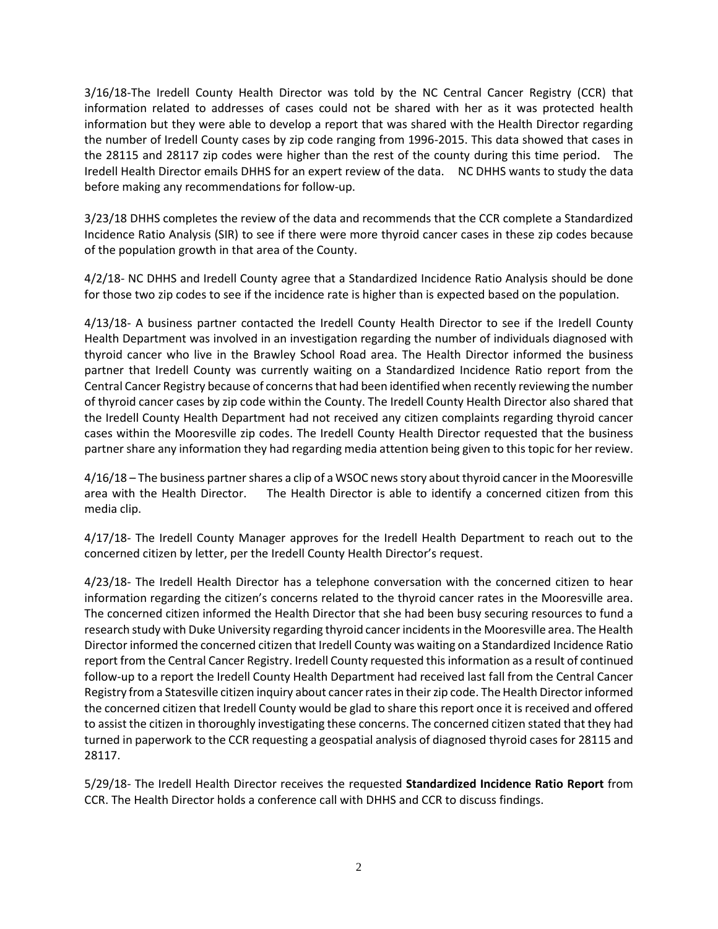3/16/18-The Iredell County Health Director was told by the NC Central Cancer Registry (CCR) that information related to addresses of cases could not be shared with her as it was protected health information but they were able to develop a report that was shared with the Health Director regarding the number of Iredell County cases by zip code ranging from 1996-2015. This data showed that cases in the 28115 and 28117 zip codes were higher than the rest of the county during this time period. The Iredell Health Director emails DHHS for an expert review of the data. NC DHHS wants to study the data before making any recommendations for follow-up.

3/23/18 DHHS completes the review of the data and recommends that the CCR complete a Standardized Incidence Ratio Analysis (SIR) to see if there were more thyroid cancer cases in these zip codes because of the population growth in that area of the County.

4/2/18- NC DHHS and Iredell County agree that a Standardized Incidence Ratio Analysis should be done for those two zip codes to see if the incidence rate is higher than is expected based on the population.

4/13/18- A business partner contacted the Iredell County Health Director to see if the Iredell County Health Department was involved in an investigation regarding the number of individuals diagnosed with thyroid cancer who live in the Brawley School Road area. The Health Director informed the business partner that Iredell County was currently waiting on a Standardized Incidence Ratio report from the Central Cancer Registry because of concerns that had been identified when recently reviewing the number of thyroid cancer cases by zip code within the County. The Iredell County Health Director also shared that the Iredell County Health Department had not received any citizen complaints regarding thyroid cancer cases within the Mooresville zip codes. The Iredell County Health Director requested that the business partner share any information they had regarding media attention being given to this topic for her review.

4/16/18 – The business partner shares a clip of a WSOC news story about thyroid cancer in the Mooresville area with the Health Director. The Health Director is able to identify a concerned citizen from this media clip.

4/17/18- The Iredell County Manager approves for the Iredell Health Department to reach out to the concerned citizen by letter, per the Iredell County Health Director's request.

4/23/18- The Iredell Health Director has a telephone conversation with the concerned citizen to hear information regarding the citizen's concerns related to the thyroid cancer rates in the Mooresville area. The concerned citizen informed the Health Director that she had been busy securing resources to fund a research study with Duke University regarding thyroid cancer incidents in the Mooresville area. The Health Director informed the concerned citizen that Iredell County was waiting on a Standardized Incidence Ratio report from the Central Cancer Registry. Iredell County requested thisinformation as a result of continued follow-up to a report the Iredell County Health Department had received last fall from the Central Cancer Registry from a Statesville citizen inquiry about cancer rates in their zip code. The Health Director informed the concerned citizen that Iredell County would be glad to share this report once it is received and offered to assist the citizen in thoroughly investigating these concerns. The concerned citizen stated that they had turned in paperwork to the CCR requesting a geospatial analysis of diagnosed thyroid cases for 28115 and 28117.

5/29/18- The Iredell Health Director receives the requested **Standardized Incidence Ratio Report** from CCR. The Health Director holds a conference call with DHHS and CCR to discuss findings.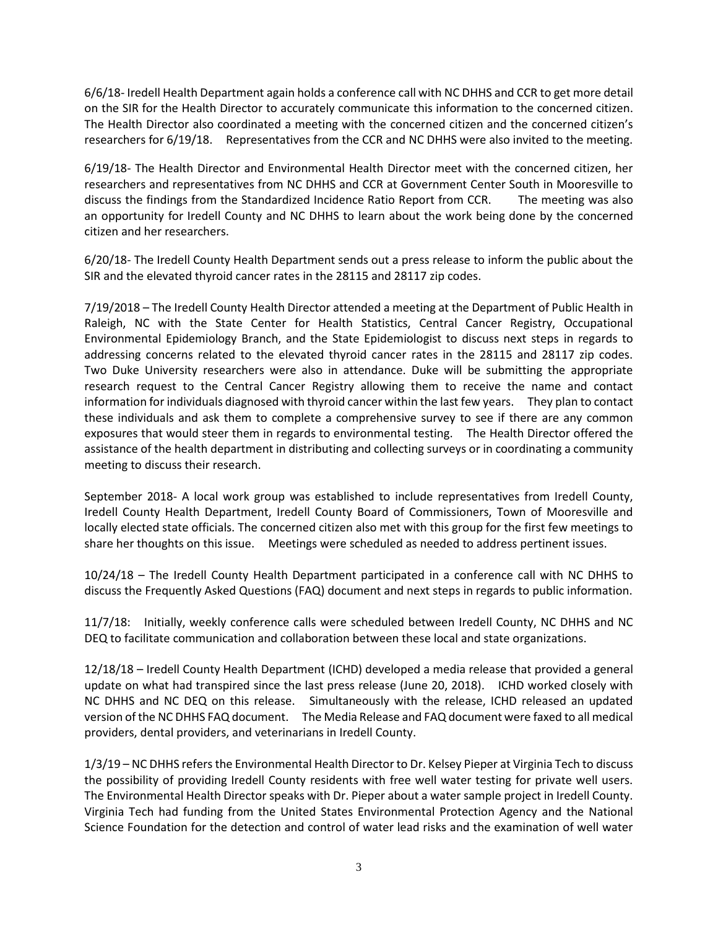6/6/18- Iredell Health Department again holds a conference call with NC DHHS and CCR to get more detail on the SIR for the Health Director to accurately communicate this information to the concerned citizen. The Health Director also coordinated a meeting with the concerned citizen and the concerned citizen's researchers for 6/19/18. Representatives from the CCR and NC DHHS were also invited to the meeting.

6/19/18- The Health Director and Environmental Health Director meet with the concerned citizen, her researchers and representatives from NC DHHS and CCR at Government Center South in Mooresville to discuss the findings from the Standardized Incidence Ratio Report from CCR. The meeting was also an opportunity for Iredell County and NC DHHS to learn about the work being done by the concerned citizen and her researchers.

6/20/18- The Iredell County Health Department sends out a press release to inform the public about the SIR and the elevated thyroid cancer rates in the 28115 and 28117 zip codes.

7/19/2018 – The Iredell County Health Director attended a meeting at the Department of Public Health in Raleigh, NC with the State Center for Health Statistics, Central Cancer Registry, Occupational Environmental Epidemiology Branch, and the State Epidemiologist to discuss next steps in regards to addressing concerns related to the elevated thyroid cancer rates in the 28115 and 28117 zip codes. Two Duke University researchers were also in attendance. Duke will be submitting the appropriate research request to the Central Cancer Registry allowing them to receive the name and contact information for individuals diagnosed with thyroid cancer within the last few years. They plan to contact these individuals and ask them to complete a comprehensive survey to see if there are any common exposures that would steer them in regards to environmental testing. The Health Director offered the assistance of the health department in distributing and collecting surveys or in coordinating a community meeting to discuss their research.

September 2018- A local work group was established to include representatives from Iredell County, Iredell County Health Department, Iredell County Board of Commissioners, Town of Mooresville and locally elected state officials. The concerned citizen also met with this group for the first few meetings to share her thoughts on this issue. Meetings were scheduled as needed to address pertinent issues.

10/24/18 – The Iredell County Health Department participated in a conference call with NC DHHS to discuss the Frequently Asked Questions (FAQ) document and next steps in regards to public information.

11/7/18: Initially, weekly conference calls were scheduled between Iredell County, NC DHHS and NC DEQ to facilitate communication and collaboration between these local and state organizations.

12/18/18 – Iredell County Health Department (ICHD) developed a media release that provided a general update on what had transpired since the last press release (June 20, 2018). ICHD worked closely with NC DHHS and NC DEQ on this release. Simultaneously with the release, ICHD released an updated version of the NC DHHS FAQ document. The Media Release and FAQ document were faxed to all medical providers, dental providers, and veterinarians in Iredell County.

1/3/19 – NC DHHS refers the Environmental Health Director to Dr. Kelsey Pieper at Virginia Tech to discuss the possibility of providing Iredell County residents with free well water testing for private well users. The Environmental Health Director speaks with Dr. Pieper about a water sample project in Iredell County. Virginia Tech had funding from the United States Environmental Protection Agency and the National Science Foundation for the detection and control of water lead risks and the examination of well water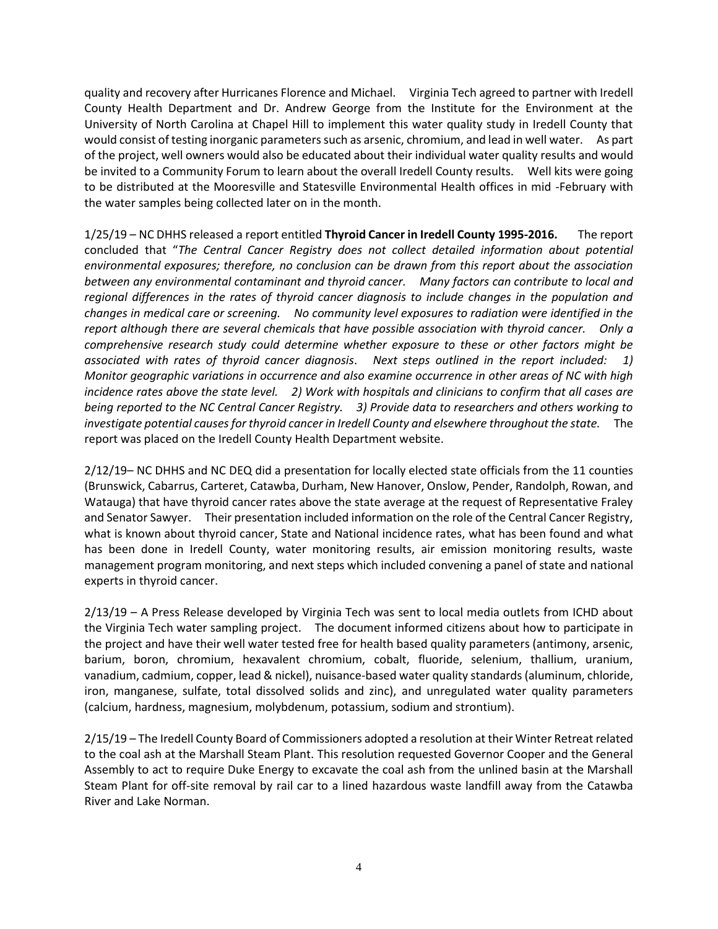quality and recovery after Hurricanes Florence and Michael. Virginia Tech agreed to partner with Iredell County Health Department and Dr. Andrew George from the Institute for the Environment at the University of North Carolina at Chapel Hill to implement this water quality study in Iredell County that would consist of testing inorganic parameters such as arsenic, chromium, and lead in well water. As part of the project, well owners would also be educated about their individual water quality results and would be invited to a Community Forum to learn about the overall Iredell County results. Well kits were going to be distributed at the Mooresville and Statesville Environmental Health offices in mid -February with the water samples being collected later on in the month.

1/25/19 – NC DHHS released a report entitled **Thyroid Cancer in Iredell County 1995-2016.** The report concluded that "*The Central Cancer Registry does not collect detailed information about potential environmental exposures; therefore, no conclusion can be drawn from this report about the association between any environmental contaminant and thyroid cancer. Many factors can contribute to local and regional differences in the rates of thyroid cancer diagnosis to include changes in the population and changes in medical care or screening. No community level exposures to radiation were identified in the report although there are several chemicals that have possible association with thyroid cancer. Only a comprehensive research study could determine whether exposure to these or other factors might be associated with rates of thyroid cancer diagnosis*. *Next steps outlined in the report included: 1) Monitor geographic variations in occurrence and also examine occurrence in other areas of NC with high incidence rates above the state level. 2) Work with hospitals and clinicians to confirm that all cases are being reported to the NC Central Cancer Registry. 3) Provide data to researchers and others working to investigate potential causes for thyroid cancer in Iredell County and elsewhere throughout the state.* The report was placed on the Iredell County Health Department website.

2/12/19– NC DHHS and NC DEQ did a presentation for locally elected state officials from the 11 counties (Brunswick, Cabarrus, Carteret, Catawba, Durham, New Hanover, Onslow, Pender, Randolph, Rowan, and Watauga) that have thyroid cancer rates above the state average at the request of Representative Fraley and Senator Sawyer. Their presentation included information on the role of the Central Cancer Registry, what is known about thyroid cancer, State and National incidence rates, what has been found and what has been done in Iredell County, water monitoring results, air emission monitoring results, waste management program monitoring, and next steps which included convening a panel of state and national experts in thyroid cancer.

2/13/19 – A Press Release developed by Virginia Tech was sent to local media outlets from ICHD about the Virginia Tech water sampling project. The document informed citizens about how to participate in the project and have their well water tested free for health based quality parameters (antimony, arsenic, barium, boron, chromium, hexavalent chromium, cobalt, fluoride, selenium, thallium, uranium, vanadium, cadmium, copper, lead & nickel), nuisance-based water quality standards (aluminum, chloride, iron, manganese, sulfate, total dissolved solids and zinc), and unregulated water quality parameters (calcium, hardness, magnesium, molybdenum, potassium, sodium and strontium).

2/15/19 – The Iredell County Board of Commissioners adopted a resolution at their Winter Retreat related to the coal ash at the Marshall Steam Plant. This resolution requested Governor Cooper and the General Assembly to act to require Duke Energy to excavate the coal ash from the unlined basin at the Marshall Steam Plant for off-site removal by rail car to a lined hazardous waste landfill away from the Catawba River and Lake Norman.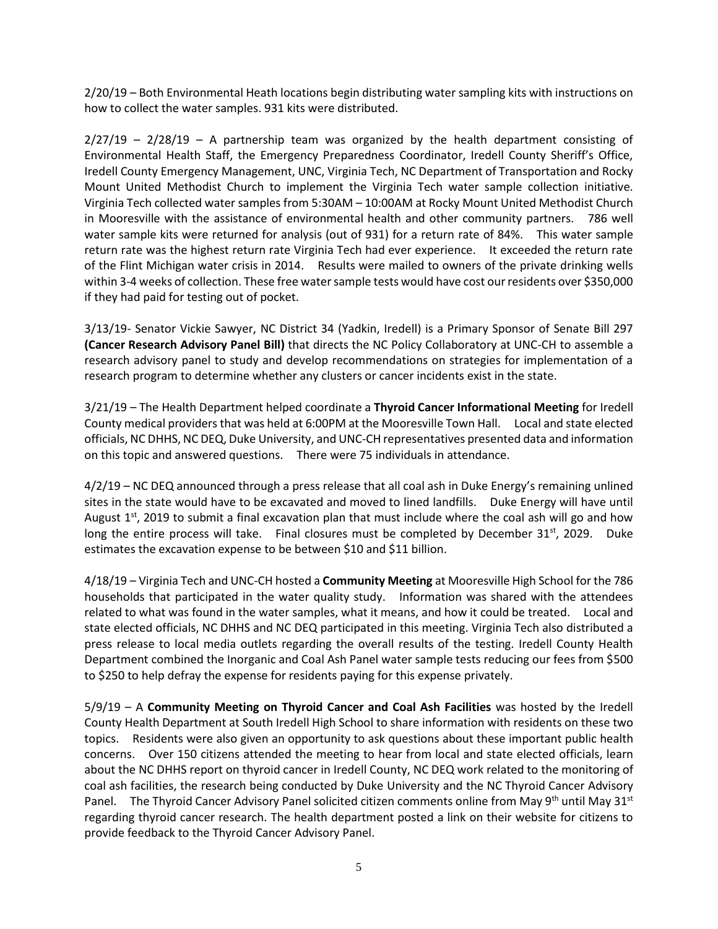2/20/19 – Both Environmental Heath locations begin distributing water sampling kits with instructions on how to collect the water samples. 931 kits were distributed.

 $2/27/19$  –  $2/28/19$  – A partnership team was organized by the health department consisting of Environmental Health Staff, the Emergency Preparedness Coordinator, Iredell County Sheriff's Office, Iredell County Emergency Management, UNC, Virginia Tech, NC Department of Transportation and Rocky Mount United Methodist Church to implement the Virginia Tech water sample collection initiative. Virginia Tech collected water samples from 5:30AM – 10:00AM at Rocky Mount United Methodist Church in Mooresville with the assistance of environmental health and other community partners. 786 well water sample kits were returned for analysis (out of 931) for a return rate of 84%. This water sample return rate was the highest return rate Virginia Tech had ever experience. It exceeded the return rate of the Flint Michigan water crisis in 2014. Results were mailed to owners of the private drinking wells within 3-4 weeks of collection. These free water sample tests would have cost our residents over \$350,000 if they had paid for testing out of pocket.

3/13/19- Senator Vickie Sawyer, NC District 34 (Yadkin, Iredell) is a Primary Sponsor of Senate Bill 297 **(Cancer Research Advisory Panel Bill)** that directs the NC Policy Collaboratory at UNC-CH to assemble a research advisory panel to study and develop recommendations on strategies for implementation of a research program to determine whether any clusters or cancer incidents exist in the state.

3/21/19 – The Health Department helped coordinate a **Thyroid Cancer Informational Meeting** for Iredell County medical providers that was held at 6:00PM at the Mooresville Town Hall. Local and state elected officials, NC DHHS, NC DEQ, Duke University, and UNC-CH representatives presented data and information on this topic and answered questions. There were 75 individuals in attendance.

4/2/19 – NC DEQ announced through a press release that all coal ash in Duke Energy's remaining unlined sites in the state would have to be excavated and moved to lined landfills. Duke Energy will have until August  $1<sup>st</sup>$ , 2019 to submit a final excavation plan that must include where the coal ash will go and how long the entire process will take. Final closures must be completed by December  $31<sup>st</sup>$ , 2029. Duke estimates the excavation expense to be between \$10 and \$11 billion.

4/18/19 – Virginia Tech and UNC-CH hosted a **Community Meeting** at Mooresville High School for the 786 households that participated in the water quality study. Information was shared with the attendees related to what was found in the water samples, what it means, and how it could be treated. Local and state elected officials, NC DHHS and NC DEQ participated in this meeting. Virginia Tech also distributed a press release to local media outlets regarding the overall results of the testing. Iredell County Health Department combined the Inorganic and Coal Ash Panel water sample tests reducing our fees from \$500 to \$250 to help defray the expense for residents paying for this expense privately.

5/9/19 – A **Community Meeting on Thyroid Cancer and Coal Ash Facilities** was hosted by the Iredell County Health Department at South Iredell High School to share information with residents on these two topics. Residents were also given an opportunity to ask questions about these important public health concerns. Over 150 citizens attended the meeting to hear from local and state elected officials, learn about the NC DHHS report on thyroid cancer in Iredell County, NC DEQ work related to the monitoring of coal ash facilities, the research being conducted by Duke University and the NC Thyroid Cancer Advisory Panel. The Thyroid Cancer Advisory Panel solicited citizen comments online from May 9<sup>th</sup> until May 31<sup>st</sup> regarding thyroid cancer research. The health department posted a link on their website for citizens to provide feedback to the Thyroid Cancer Advisory Panel.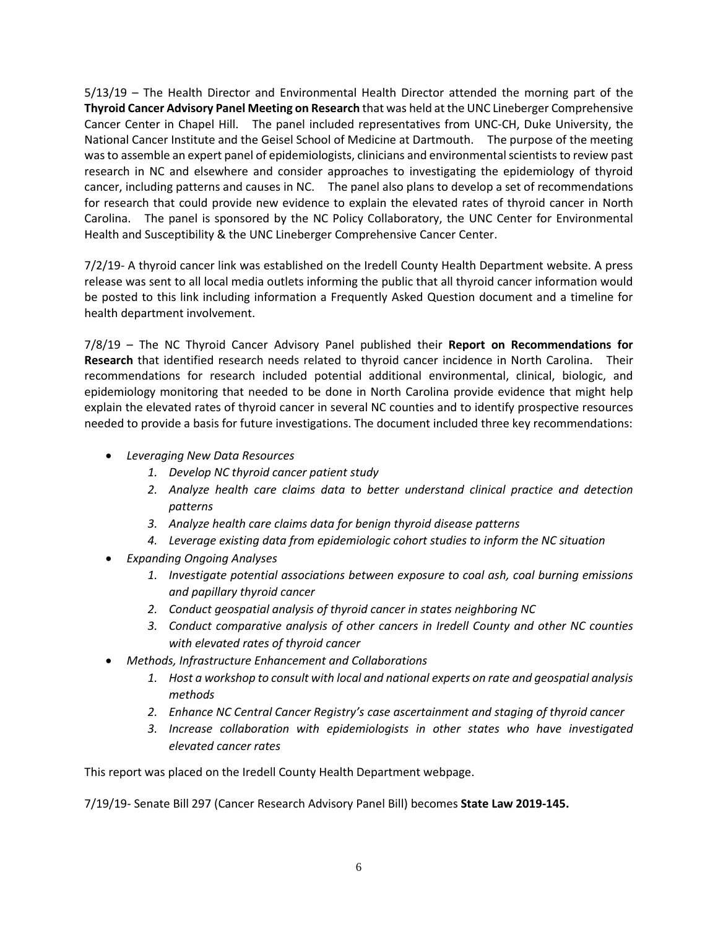5/13/19 – The Health Director and Environmental Health Director attended the morning part of the **Thyroid Cancer Advisory Panel Meeting on Research** that was held at the UNC Lineberger Comprehensive Cancer Center in Chapel Hill. The panel included representatives from UNC-CH, Duke University, the National Cancer Institute and the Geisel School of Medicine at Dartmouth. The purpose of the meeting was to assemble an expert panel of epidemiologists, clinicians and environmental scientists to review past research in NC and elsewhere and consider approaches to investigating the epidemiology of thyroid cancer, including patterns and causes in NC. The panel also plans to develop a set of recommendations for research that could provide new evidence to explain the elevated rates of thyroid cancer in North Carolina. The panel is sponsored by the NC Policy Collaboratory, the UNC Center for Environmental Health and Susceptibility & the UNC Lineberger Comprehensive Cancer Center.

7/2/19- A thyroid cancer link was established on the Iredell County Health Department website. A press release was sent to all local media outlets informing the public that all thyroid cancer information would be posted to this link including information a Frequently Asked Question document and a timeline for health department involvement.

7/8/19 – The NC Thyroid Cancer Advisory Panel published their **Report on Recommendations for Research** that identified research needs related to thyroid cancer incidence in North Carolina. Their recommendations for research included potential additional environmental, clinical, biologic, and epidemiology monitoring that needed to be done in North Carolina provide evidence that might help explain the elevated rates of thyroid cancer in several NC counties and to identify prospective resources needed to provide a basis for future investigations. The document included three key recommendations:

- *Leveraging New Data Resources*
	- *1. Develop NC thyroid cancer patient study*
	- *2. Analyze health care claims data to better understand clinical practice and detection patterns*
	- *3. Analyze health care claims data for benign thyroid disease patterns*
	- *4. Leverage existing data from epidemiologic cohort studies to inform the NC situation*
- *Expanding Ongoing Analyses*
	- *1. Investigate potential associations between exposure to coal ash, coal burning emissions and papillary thyroid cancer*
	- *2. Conduct geospatial analysis of thyroid cancer in states neighboring NC*
	- *3. Conduct comparative analysis of other cancers in Iredell County and other NC counties with elevated rates of thyroid cancer*
- *Methods, Infrastructure Enhancement and Collaborations*
	- *1. Host a workshop to consult with local and national experts on rate and geospatial analysis methods*
	- *2. Enhance NC Central Cancer Registry's case ascertainment and staging of thyroid cancer*
	- *3. Increase collaboration with epidemiologists in other states who have investigated elevated cancer rates*

This report was placed on the Iredell County Health Department webpage.

7/19/19- Senate Bill 297 (Cancer Research Advisory Panel Bill) becomes **State Law 2019-145.**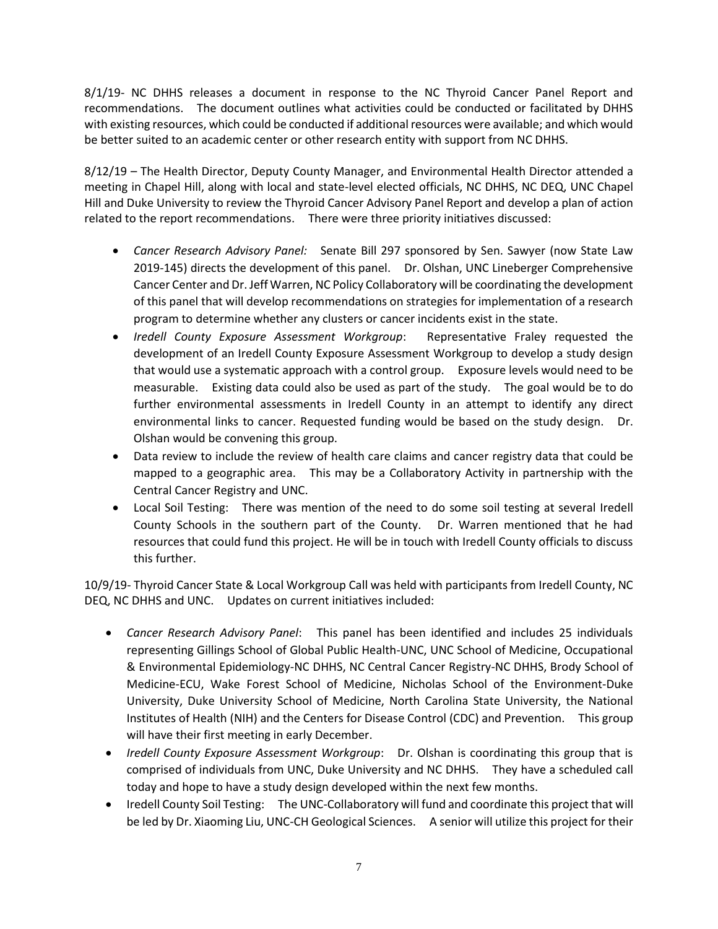8/1/19- NC DHHS releases a document in response to the NC Thyroid Cancer Panel Report and recommendations. The document outlines what activities could be conducted or facilitated by DHHS with existing resources, which could be conducted if additional resources were available; and which would be better suited to an academic center or other research entity with support from NC DHHS.

8/12/19 – The Health Director, Deputy County Manager, and Environmental Health Director attended a meeting in Chapel Hill, along with local and state-level elected officials, NC DHHS, NC DEQ, UNC Chapel Hill and Duke University to review the Thyroid Cancer Advisory Panel Report and develop a plan of action related to the report recommendations. There were three priority initiatives discussed:

- *Cancer Research Advisory Panel:* Senate Bill 297 sponsored by Sen. Sawyer (now State Law 2019-145) directs the development of this panel. Dr. Olshan, UNC Lineberger Comprehensive Cancer Center and Dr. Jeff Warren, NC Policy Collaboratory will be coordinating the development of this panel that will develop recommendations on strategies for implementation of a research program to determine whether any clusters or cancer incidents exist in the state.
- *Iredell County Exposure Assessment Workgroup*: Representative Fraley requested the development of an Iredell County Exposure Assessment Workgroup to develop a study design that would use a systematic approach with a control group. Exposure levels would need to be measurable. Existing data could also be used as part of the study. The goal would be to do further environmental assessments in Iredell County in an attempt to identify any direct environmental links to cancer. Requested funding would be based on the study design. Dr. Olshan would be convening this group.
- Data review to include the review of health care claims and cancer registry data that could be mapped to a geographic area. This may be a Collaboratory Activity in partnership with the Central Cancer Registry and UNC.
- Local Soil Testing: There was mention of the need to do some soil testing at several Iredell County Schools in the southern part of the County. Dr. Warren mentioned that he had resources that could fund this project. He will be in touch with Iredell County officials to discuss this further.

10/9/19- Thyroid Cancer State & Local Workgroup Call was held with participants from Iredell County, NC DEQ, NC DHHS and UNC. Updates on current initiatives included:

- *Cancer Research Advisory Panel*: This panel has been identified and includes 25 individuals representing Gillings School of Global Public Health-UNC, UNC School of Medicine, Occupational & Environmental Epidemiology-NC DHHS, NC Central Cancer Registry-NC DHHS, Brody School of Medicine-ECU, Wake Forest School of Medicine, Nicholas School of the Environment-Duke University, Duke University School of Medicine, North Carolina State University, the National Institutes of Health (NIH) and the Centers for Disease Control (CDC) and Prevention. This group will have their first meeting in early December.
- *Iredell County Exposure Assessment Workgroup*: Dr. Olshan is coordinating this group that is comprised of individuals from UNC, Duke University and NC DHHS. They have a scheduled call today and hope to have a study design developed within the next few months.
- Iredell County Soil Testing: The UNC-Collaboratory will fund and coordinate this project that will be led by Dr. Xiaoming Liu, UNC-CH Geological Sciences. A senior will utilize this project for their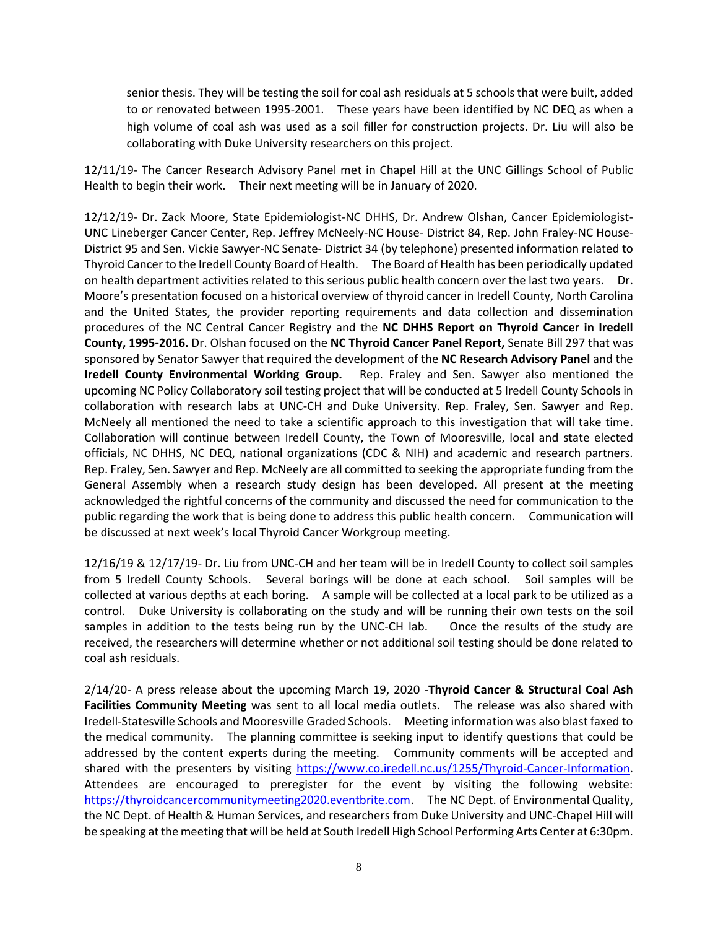senior thesis. They will be testing the soil for coal ash residuals at 5 schools that were built, added to or renovated between 1995-2001. These years have been identified by NC DEQ as when a high volume of coal ash was used as a soil filler for construction projects. Dr. Liu will also be collaborating with Duke University researchers on this project.

12/11/19- The Cancer Research Advisory Panel met in Chapel Hill at the UNC Gillings School of Public Health to begin their work. Their next meeting will be in January of 2020.

12/12/19- Dr. Zack Moore, State Epidemiologist-NC DHHS, Dr. Andrew Olshan, Cancer Epidemiologist-UNC Lineberger Cancer Center, Rep. Jeffrey McNeely-NC House- District 84, Rep. John Fraley-NC House-District 95 and Sen. Vickie Sawyer-NC Senate- District 34 (by telephone) presented information related to Thyroid Cancer to the Iredell County Board of Health. The Board of Health has been periodically updated on health department activities related to this serious public health concern over the last two years. Dr. Moore's presentation focused on a historical overview of thyroid cancer in Iredell County, North Carolina and the United States, the provider reporting requirements and data collection and dissemination procedures of the NC Central Cancer Registry and the **NC DHHS Report on Thyroid Cancer in Iredell County, 1995-2016.** Dr. Olshan focused on the **NC Thyroid Cancer Panel Report,** Senate Bill 297 that was sponsored by Senator Sawyer that required the development of the **NC Research Advisory Panel** and the **Iredell County Environmental Working Group.** Rep. Fraley and Sen. Sawyer also mentioned the upcoming NC Policy Collaboratory soil testing project that will be conducted at 5 Iredell County Schools in collaboration with research labs at UNC-CH and Duke University. Rep. Fraley, Sen. Sawyer and Rep. McNeely all mentioned the need to take a scientific approach to this investigation that will take time. Collaboration will continue between Iredell County, the Town of Mooresville, local and state elected officials, NC DHHS, NC DEQ, national organizations (CDC & NIH) and academic and research partners. Rep. Fraley, Sen. Sawyer and Rep. McNeely are all committed to seeking the appropriate funding from the General Assembly when a research study design has been developed. All present at the meeting acknowledged the rightful concerns of the community and discussed the need for communication to the public regarding the work that is being done to address this public health concern. Communication will be discussed at next week's local Thyroid Cancer Workgroup meeting.

12/16/19 & 12/17/19- Dr. Liu from UNC-CH and her team will be in Iredell County to collect soil samples from 5 Iredell County Schools. Several borings will be done at each school. Soil samples will be collected at various depths at each boring. A sample will be collected at a local park to be utilized as a control. Duke University is collaborating on the study and will be running their own tests on the soil samples in addition to the tests being run by the UNC-CH lab. Once the results of the study are received, the researchers will determine whether or not additional soil testing should be done related to coal ash residuals.

2/14/20- A press release about the upcoming March 19, 2020 -**Thyroid Cancer & Structural Coal Ash Facilities Community Meeting** was sent to all local media outlets. The release was also shared with Iredell-Statesville Schools and Mooresville Graded Schools. Meeting information was also blast faxed to the medical community. The planning committee is seeking input to identify questions that could be addressed by the content experts during the meeting. Community comments will be accepted and shared with the presenters by visiting [https://www.co.iredell.nc.us/1255/Thyroid-Cancer-Information.](https://www.co.iredell.nc.us/1255/Thyroid-Cancer-Information) Attendees are encouraged to preregister for the event by visiting the following website: [https://thyroidcancercommunitymeeting2020.eventbrite.com.](https://thyroidcancercommunitymeeting2020.eventbrite.com/) The NC Dept. of Environmental Quality, the NC Dept. of Health & Human Services, and researchers from Duke University and UNC-Chapel Hill will be speaking at the meeting that will be held at South Iredell High School Performing Arts Center at 6:30pm.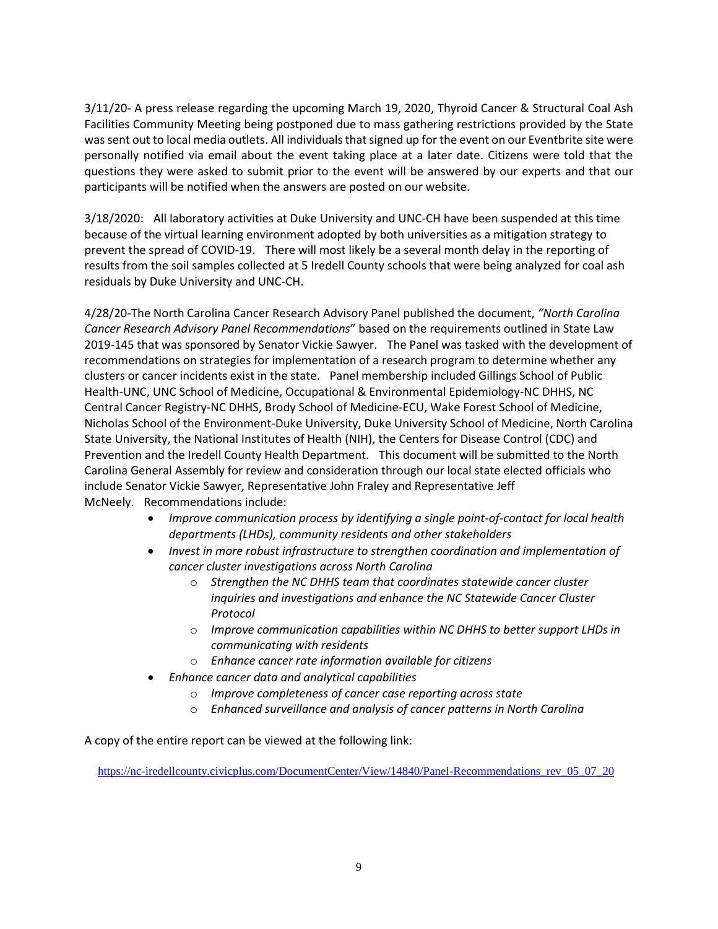3/11/20- A press release regarding the upcoming March 19, 2020, Thyroid Cancer & Structural Coal Ash Facilities Community Meeting being postponed due to mass gathering restrictions provided by the State was sent out to local media outlets. All individuals that signed up for the event on our Eventbrite site were personally notified via email about the event taking place at a later date. Citizens were told that the questions they were asked to submit prior to the event will be answered by our experts and that our participants will be notified when the answers are posted on our website.

3/18/2020: All laboratory activities at Duke University and UNC-CH have been suspended at this time because of the virtual learning environment adopted by both universities as a mitigation strategy to prevent the spread of COVID-19. There will most likely be a several month delay in the reporting of results from the soil samples collected at 5 Iredell County schools that were being analyzed for coal ash residuals by Duke University and UNC-CH.

4/28/20-The North Carolina Cancer Research Advisory Panel published the document, *"North Carolina Cancer Research Advisory Panel Recommendations*" based on the requirements outlined in State Law 2019-145 that was sponsored by Senator Vickie Sawyer. The Panel was tasked with the development of recommendations on strategies for implementation of a research program to determine whether any clusters or cancer incidents exist in the state. Panel membership included Gillings School of Public Health-UNC, UNC School of Medicine, Occupational & Environmental Epidemiology-NC DHHS, NC Central Cancer Registry-NC DHHS, Brody School of Medicine-ECU, Wake Forest School of Medicine, Nicholas School of the Environment-Duke University, Duke University School of Medicine, North Carolina State University, the National Institutes of Health (NIH), the Centers for Disease Control (CDC) and Prevention and the Iredell County Health Department. This document will be submitted to the North Carolina General Assembly for review and consideration through our local state elected officials who include Senator Vickie Sawyer, Representative John Fraley and Representative Jeff McNeely. Recommendations include:

- *Improve communication process by identifying a single point-of-contact for local health departments (LHDs), community residents and other stakeholders*
- *Invest in more robust infrastructure to strengthen coordination and implementation of cancer cluster investigations across North Carolina*
	- o *Strengthen the NC DHHS team that coordinates statewide cancer cluster inquiries and investigations and enhance the NC Statewide Cancer Cluster Protocol*
	- o *Improve communication capabilities within NC DHHS to better support LHDs in communicating with residents*
	- o *Enhance cancer rate information available for citizens*
- *Enhance cancer data and analytical capabilities*
	- o *Improve completeness of cancer case reporting across state*
	- o *Enhanced surveillance and analysis of cancer patterns in North Carolina*

A copy of the entire report can be viewed at the following link:

https://nc-iredellcounty.civicplus.com/DocumentCenter/View/14840/Panel-Recommendations rev 05 07 20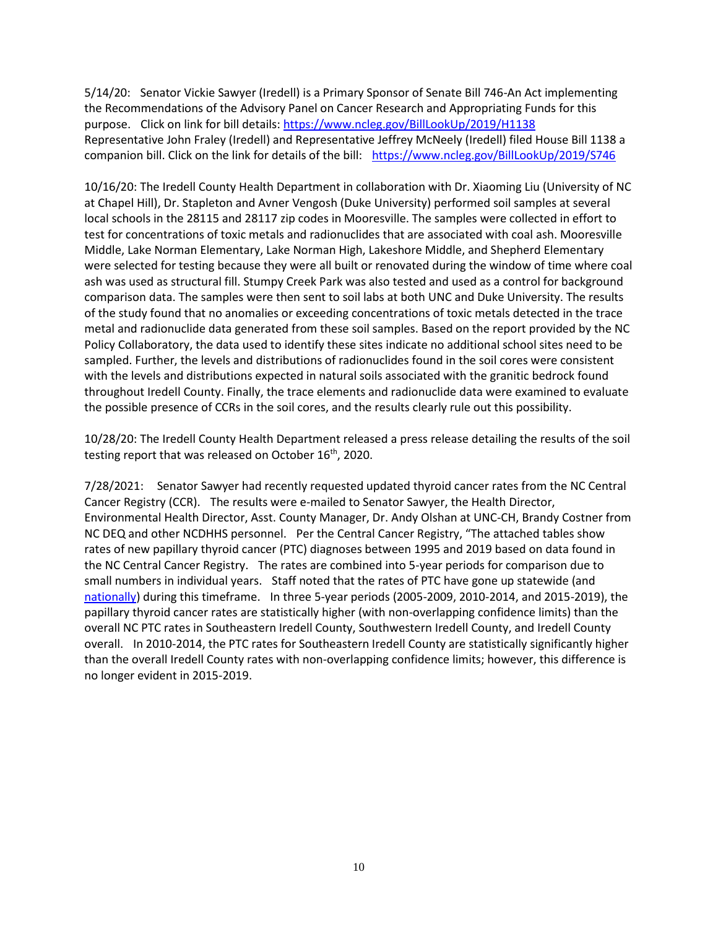5/14/20: Senator Vickie Sawyer (Iredell) is a Primary Sponsor of Senate Bill 746-An Act implementing the Recommendations of the Advisory Panel on Cancer Research and Appropriating Funds for this purpose. Click on link for bill details[: https://www.ncleg.gov/BillLookUp/2019/H1138](https://www.ncleg.gov/BillLookUp/2019/H1138) Representative John Fraley (Iredell) and Representative Jeffrey McNeely (Iredell) filed House Bill 1138 a companion bill. Click on the link for details of the bill: <https://www.ncleg.gov/BillLookUp/2019/S746>

10/16/20: The Iredell County Health Department in collaboration with Dr. Xiaoming Liu (University of NC at Chapel Hill), Dr. Stapleton and Avner Vengosh (Duke University) performed soil samples at several local schools in the 28115 and 28117 zip codes in Mooresville. The samples were collected in effort to test for concentrations of toxic metals and radionuclides that are associated with coal ash. Mooresville Middle, Lake Norman Elementary, Lake Norman High, Lakeshore Middle, and Shepherd Elementary were selected for testing because they were all built or renovated during the window of time where coal ash was used as structural fill. Stumpy Creek Park was also tested and used as a control for background comparison data. The samples were then sent to soil labs at both UNC and Duke University. The results of the study found that no anomalies or exceeding concentrations of toxic metals detected in the trace metal and radionuclide data generated from these soil samples. Based on the report provided by the NC Policy Collaboratory, the data used to identify these sites indicate no additional school sites need to be sampled. Further, the levels and distributions of radionuclides found in the soil cores were consistent with the levels and distributions expected in natural soils associated with the granitic bedrock found throughout Iredell County. Finally, the trace elements and radionuclide data were examined to evaluate the possible presence of CCRs in the soil cores, and the results clearly rule out this possibility.

10/28/20: The Iredell County Health Department released a press release detailing the results of the soil testing report that was released on October 16<sup>th</sup>, 2020.

7/28/2021: Senator Sawyer had recently requested updated thyroid cancer rates from the NC Central Cancer Registry (CCR). The results were e-mailed to Senator Sawyer, the Health Director, Environmental Health Director, Asst. County Manager, Dr. Andy Olshan at UNC-CH, Brandy Costner from NC DEQ and other NCDHHS personnel. Per the Central Cancer Registry, "The attached tables show rates of new papillary thyroid cancer (PTC) diagnoses between 1995 and 2019 based on data found in the NC Central Cancer Registry. The rates are combined into 5-year periods for comparison due to small numbers in individual years. Staff noted that the rates of PTC have gone up statewide (and [nationally\)](https://urldefense.com/v3/__https:/gcc02.safelinks.protection.outlook.com/?url=https*3A*2F*2Furldefense.com*2Fv3*2F__https*3A*2Fgis.cdc.gov*2FCancer*2FUSCS*2F**A2FAtAGlance*2F__*3BIw!!EhkxsyMbvmag3wIL!e_KhpWgEyLEJLAmUVnlYub2XdYEIj7cPKft25O2kSHXaMoCmQo6CcSVeWflB5QenF0sKP7Gt*24&data=04*7C01*7CVickie.Sawyer*40ncleg.gov*7Cc1b9842be8f64588ff2508d9535d206f*7Ccdb33c844db840fbb92401791d2b9e5b*7C0*7C0*7C637632481876919070*7CUnknown*7CTWFpbGZsb3d8eyJWIjoiMC4wLjAwMDAiLCJQIjoiV2luMzIiLCJBTiI6Ik1haWwiLCJXVCI6Mn0*3D*7C1000&sdata=RzwZ7yi5t1XGKkAaFCxwgGovCpfKLKxCVG15E76vOfY*3D&reserved=0__;JSUlJSUlJSUlJSolJSUlJSUlJSUlJSUlJSUlJQ!!EhkxsyMbvmag3wIL!Yk5hrx8M2xJVKfBLghKx6qYYz9Gk-TGzSdQ-uamUqfcIq10gomX7zXuAZ5L5Sysi5avOiQHX$) during this timeframe. In three 5-year periods (2005-2009, 2010-2014, and 2015-2019), the papillary thyroid cancer rates are statistically higher (with non-overlapping confidence limits) than the overall NC PTC rates in Southeastern Iredell County, Southwestern Iredell County, and Iredell County overall. In 2010-2014, the PTC rates for Southeastern Iredell County are statistically significantly higher than the overall Iredell County rates with non-overlapping confidence limits; however, this difference is no longer evident in 2015-2019.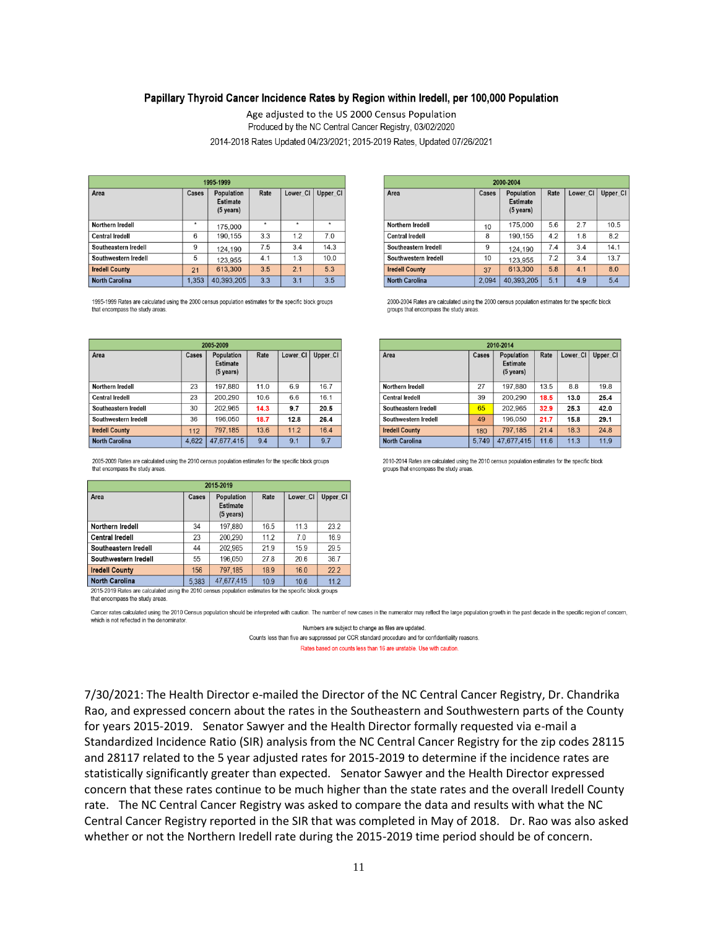## Papillary Thyroid Cancer Incidence Rates by Region within Iredell, per 100,000 Population

Age adjusted to the US 2000 Census Population Produced by the NC Central Cancer Registry, 03/02/2020 2014-2018 Rates Updated 04/23/2021; 2015-2019 Rates, Updated 07/26/2021

| 1995-1999              |       |                                              |         |          |          |  |
|------------------------|-------|----------------------------------------------|---------|----------|----------|--|
| Area                   | Cases | Population<br><b>Estimate</b><br>$(5$ years) | Rate    | Lower CI | Upper_CI |  |
| Northern Iredell       | ۰     | 175,000                                      | $\star$ | ٠        | $\star$  |  |
| <b>Central Iredell</b> | 6     | 190,155                                      | 3.3     | 1.2      | 7.0      |  |
| Southeastern Iredell   | 9     | 124,190                                      | 7.5     | 3.4      | 14.3     |  |
| Southwestern Iredell   | 5     | 123,955                                      | 4.1     | 1.3      | 10.0     |  |
| <b>Iredell County</b>  | 21    | 613,300                                      | 3.5     | 2.1      | 5.3      |  |
| <b>North Carolina</b>  | 1.353 | 40.393.205                                   | 3.3     | 3.1      | 3.5      |  |

1995-1999 Rates are calculated using the 2000 census population estimates for the specific block groups that encompass the study areas

| 2005-2009              |       |                                                      |      |          |          |  |
|------------------------|-------|------------------------------------------------------|------|----------|----------|--|
| Area                   | Cases | Population<br><b>Estimate</b><br>$(5 \text{ years})$ | Rate | Lower CI | Upper CI |  |
| Northern Iredell       | 23    | 197,880                                              | 11.0 | 6.9      | 16.7     |  |
| <b>Central Iredell</b> | 23    | 200,290                                              | 10.6 | 6.6      | 16.1     |  |
| Southeastern Iredell   | 30    | 202,965                                              | 14.3 | 9.7      | 20.5     |  |
| Southwestern Iredell   | 36    | 196,050                                              | 18.7 | 12.8     | 26.4     |  |
| <b>Iredell County</b>  | 112   | 797,185                                              | 13.6 | 11.2     | 16.4     |  |
| <b>North Carolina</b>  | 4.622 | 47.677.415                                           | 9.4  | 9.1      | 9.7      |  |

2005-2009 Rates are calculated using the 2010 census population estimates for the specific block groups that encompass the study areas

| 2015-2019              |       |                                              |      |                 |          |  |  |
|------------------------|-------|----------------------------------------------|------|-----------------|----------|--|--|
| Area                   | Cases | Population<br><b>Estimate</b><br>$(5$ years) | Rate | Lower CI        | Upper CI |  |  |
| Northern Iredell       | 34    | 197,880                                      | 16.5 | 11.3            | 23.2     |  |  |
| <b>Central Iredell</b> | 23    | 200.290                                      | 11.2 | 7.0             | 16.9     |  |  |
| Southeastern Iredell   | 44    | 202.965                                      | 21.9 | 15.9            | 29.5     |  |  |
| Southwestern Iredell   | 55    | 196.050                                      | 27.8 | 20.6            | 36.7     |  |  |
| <b>Iredell County</b>  | 156   | 797,185                                      | 18.9 | 16.0            | 22.2     |  |  |
| <b>North Carolina</b>  | 5.383 | 47.677.415                                   | 10.9 | 10 <sub>6</sub> | 112      |  |  |

2015-2019 Rates are calculated using the 2010 census population estimates for the specific block groups that encompass the study areas

Cancer rates calculated using the 2010 Census population should be interpreted with caution. The number of new cases in the numerator may reflect the large population growth in the past decade in the specific region of con which is not reflected in the denominator.

Numbers are subject to change as files are updated.

Counts less than five are suppressed per CCR standard procedure and for confidentiality reasons.

Rates based on counts less than 16 are unstable. Use with caution

7/30/2021: The Health Director e-mailed the Director of the NC Central Cancer Registry, Dr. Chandrika Rao, and expressed concern about the rates in the Southeastern and Southwestern parts of the County for years 2015-2019. Senator Sawyer and the Health Director formally requested via e-mail a Standardized Incidence Ratio (SIR) analysis from the NC Central Cancer Registry for the zip codes 28115 and 28117 related to the 5 year adjusted rates for 2015-2019 to determine if the incidence rates are statistically significantly greater than expected. Senator Sawyer and the Health Director expressed concern that these rates continue to be much higher than the state rates and the overall Iredell County rate. The NC Central Cancer Registry was asked to compare the data and results with what the NC Central Cancer Registry reported in the SIR that was completed in May of 2018. Dr. Rao was also asked whether or not the Northern Iredell rate during the 2015-2019 time period should be of concern.

| 2000-2004              |       |                                                     |      |          |          |  |
|------------------------|-------|-----------------------------------------------------|------|----------|----------|--|
| Area                   | Cases | <b>Population</b><br><b>Estimate</b><br>$(5$ years) | Rate | Lower CI | Upper_CI |  |
| Northern Iredell       | 10    | 175,000                                             | 5.6  | 2.7      | 10.5     |  |
| <b>Central Iredell</b> | 8     | 190,155                                             | 4.2  | 1.8      | 8.2      |  |
| Southeastern Iredell   | 9     | 124,190                                             | 7.4  | 3.4      | 14.1     |  |
| Southwestern Iredell   | 10    | 123,955                                             | 7.2  | 3.4      | 13.7     |  |
| <b>Iredell County</b>  | 37    | 613,300                                             | 5.8  | 4.1      | 8.0      |  |
| <b>North Carolina</b>  | 2.094 | 40.393.205                                          | 5.1  | 4.9      | 5.4      |  |

2000-2004 Rates are calculated using the 2000 census population estimates for the specific block groups that encompass the study areas

| 2010-2014              |       |                                                      |      |          |          |  |
|------------------------|-------|------------------------------------------------------|------|----------|----------|--|
| Area                   | Cases | Population<br><b>Estimate</b><br>$(5 \text{ years})$ | Rate | Lower CI | Upper CI |  |
| Northern Iredell       | 27    | 197,880                                              | 13.5 | 8.8      | 19.8     |  |
| <b>Central Iredell</b> | 39    | 200,290                                              | 18.5 | 13.0     | 25.4     |  |
| Southeastern Iredell   | 65    | 202.965                                              | 32.9 | 25.3     | 42.0     |  |
| Southwestern Iredell   | 49    | 196,050                                              | 21.7 | 15.8     | 29.1     |  |
| <b>Iredell County</b>  | 180   | 797.185                                              | 21.4 | 18.3     | 24.8     |  |
| <b>North Carolina</b>  | 5.749 | 47,677,415                                           | 11.6 | 11.3     | 11.9     |  |

2010-2014 Rates are calculated using the 2010 census population estimates for the specific block groups that encompass the study areas